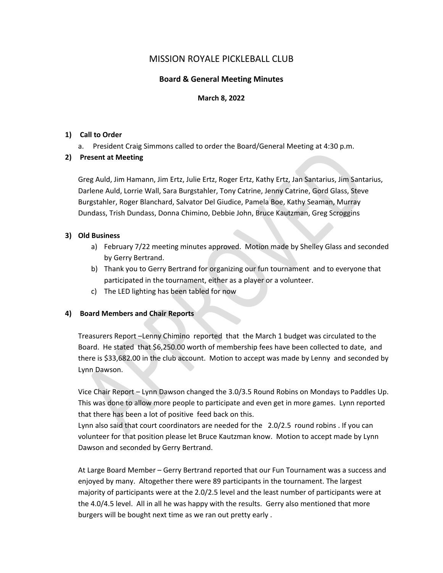# MISSION ROYALE PICKLEBALL CLUB

## **Board & General Meeting Minutes**

#### **March 8, 2022**

#### **1) Call to Order**

a. President Craig Simmons called to order the Board/General Meeting at 4:30 p.m.

## **2) Present at Meeting**

a. President Craig Simmons called to order the board/scheral invecting at 4:30 p.m.<br>
Present at Meeting<br>
Greg Auld, Jim Hamann, Jim Ertz, Julie Ertz, Roger Ertz, Kathy Ertz, Jan Santarius, Jim Santarius<br>
Burgstahler, Roger Greg Auld, Jim Hamann, Jim Ertz, Julie Ertz, Roger Ertz, Kathy Ertz, Jan Santarius, Jim Santarius, Darlene Auld, Lorrie Wall, Sara Burgstahler, Tony Catrine, Jenny Catrine, Gord Glass, Steve Burgstahler, Roger Blanchard, Salvator Del Giudice, Pamela Boe, Kathy Seaman, Murray Dundass, Trish Dundass, Donna Chimino, Debbie John, Bruce Kautzman, Greg Scroggins

## **3) Old Business**

- a) February 7/22 meeting minutes approved. Motion made by Shelley Glass and seconded by Gerry Bertrand.
- b) Thank you to Gerry Bertrand for organizing our fun tournament and to everyone that participated in the tournament, either as a player or a volunteer.
- c) The LED lighting has been tabled for now

## **4) Board Members and Chair Reports**

Treasurers Report –Lenny Chimino reported that the March 1 budget was circulated to the Board. He stated that \$6,250.00 worth of membership fees have been collected to date, and there is \$33,682.00 in the club account. Motion to accept was made by Lenny and seconded by Lynn Dawson.

Vice Chair Report – Lynn Dawson changed the 3.0/3.5 Round Robins on Mondays to Paddles Up. This was done to allow more people to participate and even get in more games. Lynn reported that there has been a lot of positive feed back on this.

Lynn also said that court coordinators are needed for the 2.0/2.5 round robins . If you can volunteer for that position please let Bruce Kautzman know. Motion to accept made by Lynn Dawson and seconded by Gerry Bertrand.

At Large Board Member – Gerry Bertrand reported that our Fun Tournament was a success and enjoyed by many. Altogether there were 89 participants in the tournament. The largest majority of participants were at the 2.0/2.5 level and the least number of participants were at the 4.0/4.5 level. All in all he was happy with the results. Gerry also mentioned that more burgers will be bought next time as we ran out pretty early .